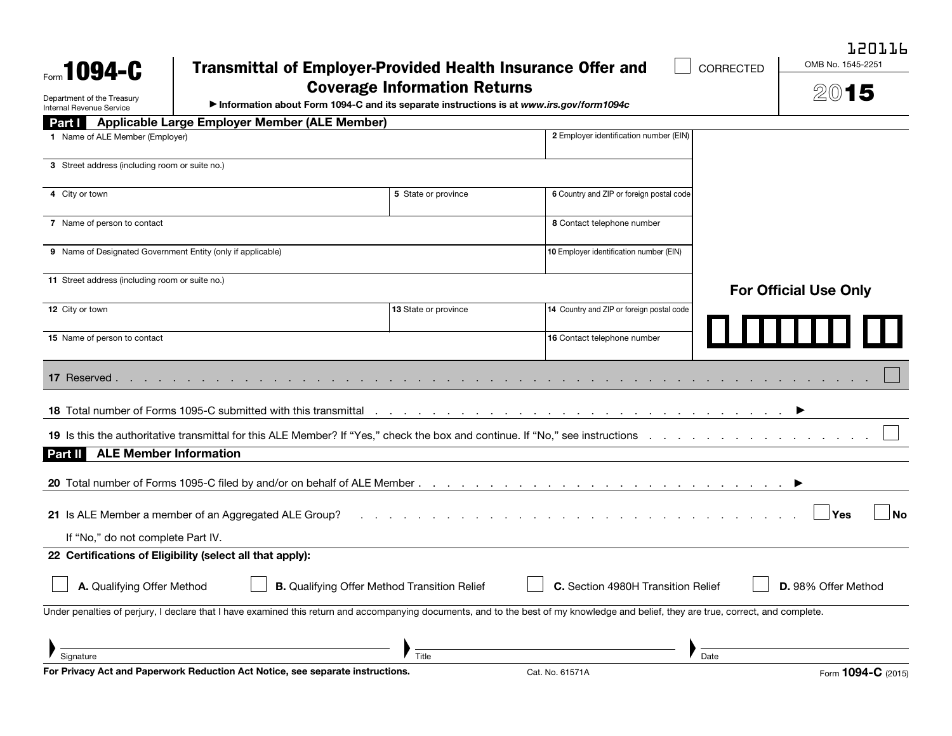| Form <b>1094-C</b>                                                                                                                                                                   | <b>Transmittal of Employer-Provided Health Insurance Offer and</b><br>CORRECTED |                                                 |  |  |  |
|--------------------------------------------------------------------------------------------------------------------------------------------------------------------------------------|---------------------------------------------------------------------------------|-------------------------------------------------|--|--|--|
| <b>Coverage Information Returns</b>                                                                                                                                                  |                                                                                 | 2015                                            |  |  |  |
| Department of the Treasury<br>Information about Form 1094-C and its separate instructions is at www.irs.gov/form1094c<br>Internal Revenue Service                                    |                                                                                 |                                                 |  |  |  |
| Part   Applicable Large Employer Member (ALE Member)                                                                                                                                 | 2 Employer identification number (EIN)                                          |                                                 |  |  |  |
| 1 Name of ALE Member (Employer)                                                                                                                                                      |                                                                                 |                                                 |  |  |  |
| 3 Street address (including room or suite no.)                                                                                                                                       |                                                                                 |                                                 |  |  |  |
| 4 City or town                                                                                                                                                                       | 6 Country and ZIP or foreign postal code<br>5 State or province                 |                                                 |  |  |  |
| 7 Name of person to contact                                                                                                                                                          | 8 Contact telephone number                                                      |                                                 |  |  |  |
| 9 Name of Designated Government Entity (only if applicable)                                                                                                                          | 10 Employer identification number (EIN)                                         |                                                 |  |  |  |
| 11 Street address (including room or suite no.)                                                                                                                                      |                                                                                 | <b>For Official Use Only</b>                    |  |  |  |
| 12 City or town<br>13 State or province                                                                                                                                              | 14 Country and ZIP or foreign postal code                                       |                                                 |  |  |  |
| 15 Name of person to contact                                                                                                                                                         | 16 Contact telephone number                                                     |                                                 |  |  |  |
| 17 Reserved                                                                                                                                                                          |                                                                                 |                                                 |  |  |  |
|                                                                                                                                                                                      |                                                                                 |                                                 |  |  |  |
|                                                                                                                                                                                      |                                                                                 |                                                 |  |  |  |
| <b>ALE Member Information</b><br>Part II                                                                                                                                             |                                                                                 |                                                 |  |  |  |
|                                                                                                                                                                                      |                                                                                 |                                                 |  |  |  |
| 21 Is ALE Member a member of an Aggregated ALE Group?                                                                                                                                |                                                                                 | Yes<br>No                                       |  |  |  |
| If "No," do not complete Part IV.                                                                                                                                                    |                                                                                 |                                                 |  |  |  |
| 22 Certifications of Eligibility (select all that apply):                                                                                                                            |                                                                                 |                                                 |  |  |  |
| $\overline{\phantom{0}}$<br>$\overline{\phantom{0}}$<br><b>B.</b> Qualifying Offer Method Transition Relief<br>A. Qualifying Offer Method                                            | $\overline{\phantom{0}}$<br>C. Section 4980H Transition Relief                  | $\overline{\phantom{0}}$<br>D. 98% Offer Method |  |  |  |
| Under penalties of perjury, I declare that I have examined this return and accompanying documents, and to the best of my knowledge and belief, they are true, correct, and complete. |                                                                                 |                                                 |  |  |  |
|                                                                                                                                                                                      |                                                                                 |                                                 |  |  |  |
| Title<br>Signature<br>For Privacy Act and Paperwork Reduction Act Notice, see separate instructions.                                                                                 | Cat. No. 61571A                                                                 | Date<br>Form 1094-C (2015)                      |  |  |  |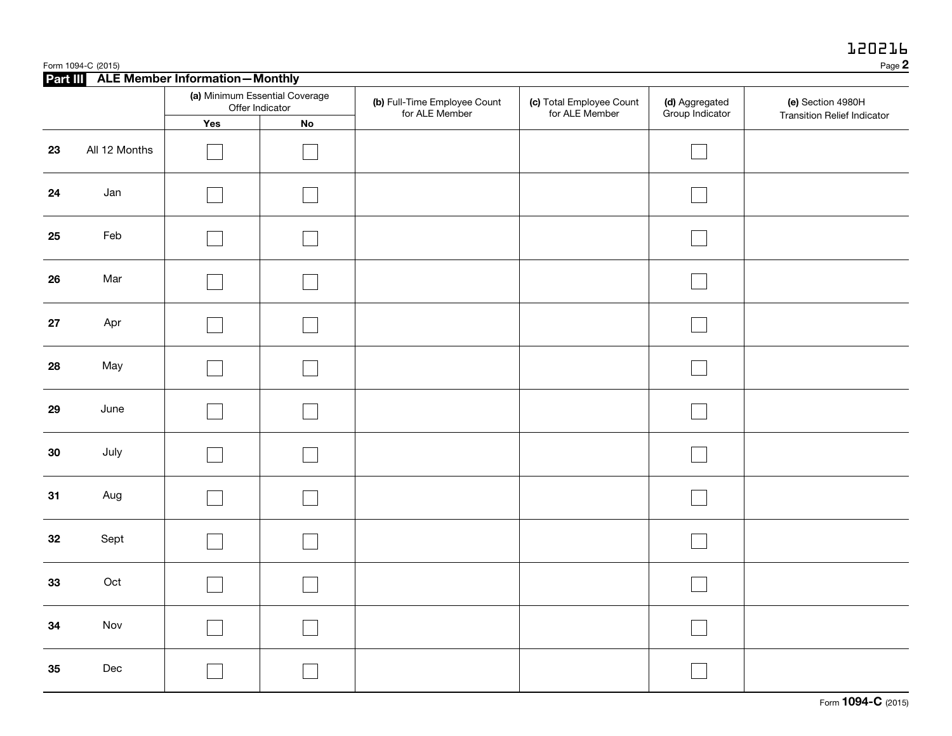|    | Page 2<br>Form 1094-C (2015)            |                                                   |    |                                                |                                            |                                   |                                    |  |
|----|-----------------------------------------|---------------------------------------------------|----|------------------------------------------------|--------------------------------------------|-----------------------------------|------------------------------------|--|
|    | Part III ALE Member Information-Monthly |                                                   |    |                                                |                                            |                                   |                                    |  |
|    |                                         | (a) Minimum Essential Coverage<br>Offer Indicator |    | (b) Full-Time Employee Count<br>for ALE Member | (c) Total Employee Count<br>for ALE Member | (d) Aggregated<br>Group Indicator | (e) Section 4980H                  |  |
|    |                                         | Yes                                               | No |                                                |                                            |                                   | <b>Transition Relief Indicator</b> |  |
| 23 | All 12 Months                           |                                                   |    |                                                |                                            |                                   |                                    |  |
| 24 | Jan                                     |                                                   |    |                                                |                                            |                                   |                                    |  |
| 25 | Feb                                     |                                                   |    |                                                |                                            |                                   |                                    |  |
| 26 | Mar                                     |                                                   |    |                                                |                                            |                                   |                                    |  |
| 27 | Apr                                     |                                                   |    |                                                |                                            |                                   |                                    |  |
| 28 | May                                     |                                                   |    |                                                |                                            |                                   |                                    |  |
| 29 | June                                    |                                                   |    |                                                |                                            |                                   |                                    |  |
| 30 | July                                    |                                                   |    |                                                |                                            |                                   |                                    |  |
| 31 | Aug                                     |                                                   |    |                                                |                                            |                                   |                                    |  |
| 32 | Sept                                    |                                                   |    |                                                |                                            |                                   |                                    |  |
| 33 | Oct                                     |                                                   |    |                                                |                                            |                                   |                                    |  |
| 34 | Nov                                     |                                                   |    |                                                |                                            |                                   |                                    |  |
| 35 | Dec                                     |                                                   |    |                                                |                                            |                                   |                                    |  |